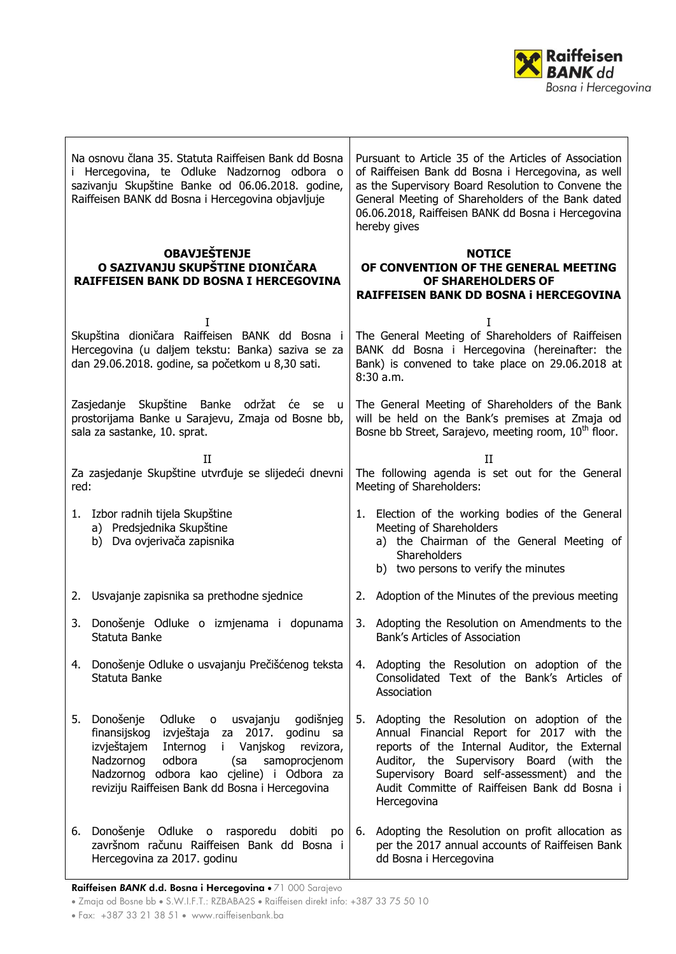

| Na osnovu člana 35. Statuta Raiffeisen Bank dd Bosna<br>i Hercegovina, te Odluke Nadzornog odbora o<br>sazivanju Skupštine Banke od 06.06.2018. godine,<br>Raiffeisen BANK dd Bosna i Hercegovina objavljuje |                                                                                                                                                                                                                                                                                                              | Pursuant to Article 35 of the Articles of Association<br>of Raiffeisen Bank dd Bosna i Hercegovina, as well<br>as the Supervisory Board Resolution to Convene the<br>General Meeting of Shareholders of the Bank dated<br>06.06.2018, Raiffeisen BANK dd Bosna i Hercegovina<br>hereby gives |                                                                                                                                                                                                                                                                                                   |
|--------------------------------------------------------------------------------------------------------------------------------------------------------------------------------------------------------------|--------------------------------------------------------------------------------------------------------------------------------------------------------------------------------------------------------------------------------------------------------------------------------------------------------------|----------------------------------------------------------------------------------------------------------------------------------------------------------------------------------------------------------------------------------------------------------------------------------------------|---------------------------------------------------------------------------------------------------------------------------------------------------------------------------------------------------------------------------------------------------------------------------------------------------|
|                                                                                                                                                                                                              | <b>OBAVJEŠTENJE</b><br>O SAZIVANJU SKUPŠTINE DIONIČARA<br><b>RAIFFEISEN BANK DD BOSNA I HERCEGOVINA</b>                                                                                                                                                                                                      |                                                                                                                                                                                                                                                                                              | <b>NOTICE</b><br>OF CONVENTION OF THE GENERAL MEETING<br>OF SHAREHOLDERS OF<br>RAIFFEISEN BANK DD BOSNA i HERCEGOVINA                                                                                                                                                                             |
| T<br>Skupština dioničara Raiffeisen BANK dd Bosna i<br>Hercegovina (u daljem tekstu: Banka) saziva se za<br>dan 29.06.2018. godine, sa početkom u 8,30 sati.                                                 |                                                                                                                                                                                                                                                                                                              | I<br>The General Meeting of Shareholders of Raiffeisen<br>BANK dd Bosna i Hercegovina (hereinafter: the<br>Bank) is convened to take place on 29.06.2018 at<br>8:30a.m.                                                                                                                      |                                                                                                                                                                                                                                                                                                   |
| Zasjedanje Skupštine Banke održat će se u<br>prostorijama Banke u Sarajevu, Zmaja od Bosne bb,<br>sala za sastanke, 10. sprat.                                                                               |                                                                                                                                                                                                                                                                                                              | The General Meeting of Shareholders of the Bank<br>will be held on the Bank's premises at Zmaja od<br>Bosne bb Street, Sarajevo, meeting room, 10 <sup>th</sup> floor.                                                                                                                       |                                                                                                                                                                                                                                                                                                   |
| II<br>Za zasjedanje Skupštine utvrđuje se slijedeći dnevni<br>red:                                                                                                                                           |                                                                                                                                                                                                                                                                                                              | $_{\rm II}$<br>The following agenda is set out for the General<br>Meeting of Shareholders:                                                                                                                                                                                                   |                                                                                                                                                                                                                                                                                                   |
|                                                                                                                                                                                                              | 1. Izbor radnih tijela Skupštine<br>a) Predsjednika Skupštine<br>b) Dva ovjerivača zapisnika                                                                                                                                                                                                                 |                                                                                                                                                                                                                                                                                              | 1. Election of the working bodies of the General<br>Meeting of Shareholders<br>a) the Chairman of the General Meeting of<br>Shareholders<br>b) two persons to verify the minutes                                                                                                                  |
|                                                                                                                                                                                                              | 2. Usvajanje zapisnika sa prethodne sjednice                                                                                                                                                                                                                                                                 |                                                                                                                                                                                                                                                                                              | 2. Adoption of the Minutes of the previous meeting                                                                                                                                                                                                                                                |
|                                                                                                                                                                                                              | 3. Donošenje Odluke o izmjenama i dopunama<br>Statuta Banke                                                                                                                                                                                                                                                  |                                                                                                                                                                                                                                                                                              | 3. Adopting the Resolution on Amendments to the<br>Bank's Articles of Association                                                                                                                                                                                                                 |
|                                                                                                                                                                                                              | 4. Donošenje Odluke o usvajanju Prečišćenog teksta<br>Statuta Banke                                                                                                                                                                                                                                          |                                                                                                                                                                                                                                                                                              | 4. Adopting the Resolution on adoption of the<br>Consolidated Text of the Bank's Articles of<br>Association                                                                                                                                                                                       |
| 5.                                                                                                                                                                                                           | Donošenje<br>Odluke o<br>usvajanju<br>godišnjeg<br>2017. godinu sa<br>finansijskog<br>izvještaja za<br>izvještajem<br>Internog<br>Vanjskog<br>i.<br>revizora,<br>Nadzornog<br>odbora<br>samoprocjenom<br>(sa<br>Nadzornog odbora kao cjeline) i Odbora za<br>reviziju Raiffeisen Bank dd Bosna i Hercegovina | 5.                                                                                                                                                                                                                                                                                           | Adopting the Resolution on adoption of the<br>Annual Financial Report for 2017 with the<br>reports of the Internal Auditor, the External<br>Auditor, the Supervisory Board (with the<br>Supervisory Board self-assessment) and the<br>Audit Committe of Raiffeisen Bank dd Bosna i<br>Hercegovina |
| 6.                                                                                                                                                                                                           | Donošenje Odluke o rasporedu dobiti po<br>završnom računu Raiffeisen Bank dd Bosna i<br>Hercegovina za 2017. godinu                                                                                                                                                                                          | 6.                                                                                                                                                                                                                                                                                           | Adopting the Resolution on profit allocation as<br>per the 2017 annual accounts of Raiffeisen Bank<br>dd Bosna i Hercegovina                                                                                                                                                                      |

Raiffeisen BANK d.d. Bosna i Hercegovina · 71 000 Sarajevo

• Zmaja od Bosne bb • S.W.I.F.T.: RZBABA2S • Raiffeisen direkt info: +387 33 75 50 10

Fax: +387 33 21 38 51 www.raiffeisenbank.ba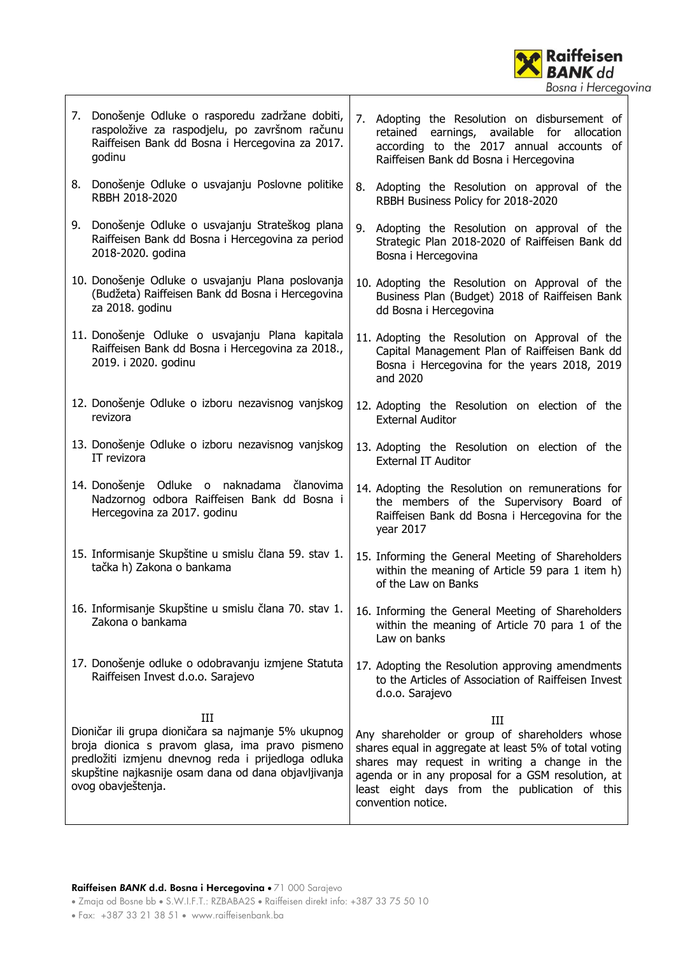

- 7. Donošenje Odluke o rasporedu zadržane dobiti, raspoložive za raspodjelu, po završnom računu Raiffeisen Bank dd Bosna i Hercegovina za 2017. godinu
- 8. Donošenje Odluke o usvajanju Poslovne politike RBBH 2018-2020
- 9. Donošenje Odluke o usvajanju Strateškog plana Raiffeisen Bank dd Bosna i Hercegovina za period 2018-2020. godina
- 10. Donošenje Odluke o usvajanju Plana poslovanja (Budžeta) Raiffeisen Bank dd Bosna i Hercegovina za 2018. godinu
- 11. Donošenje Odluke o usvajanju Plana kapitala Raiffeisen Bank dd Bosna i Hercegovina za 2018., 2019. i 2020. godinu
- 12. Donošenje Odluke o izboru nezavisnog vanjskog revizora
- 13. Donošenje Odluke o izboru nezavisnog vanjskog IT revizora
- 14. Donošenje Odluke o naknadama članovima Nadzornog odbora Raiffeisen Bank dd Bosna i Hercegovina za 2017. godinu
- 15. Informisanje Skupštine u smislu člana 59. stav 1. tačka h) Zakona o bankama
- 16. Informisanje Skupštine u smislu člana 70. stav 1. Zakona o bankama
- 17. Donošenje odluke o odobravanju izmjene Statuta Raiffeisen Invest d.o.o. Sarajevo

III Dioničar ili grupa dioničara sa najmanje 5% ukupnog broja dionica s pravom glasa, ima pravo pismeno predložiti izmjenu dnevnog reda i prijedloga odluka skupštine najkasnije osam dana od dana objavljivanja ovog obavještenja.

- 7. Adopting the Resolution on disbursement of retained earnings, available for allocation according to the 2017 annual accounts of Raiffeisen Bank dd Bosna i Hercegovina
- 8. Adopting the Resolution on approval of the RBBH Business Policy for 2018-2020
- 9. Adopting the Resolution on approval of the Strategic Plan 2018-2020 of Raiffeisen Bank dd Bosna i Hercegovina
- 10. Adopting the Resolution on Approval of the Business Plan (Budget) 2018 of Raiffeisen Bank dd Bosna i Hercegovina
- 11. Adopting the Resolution on Approval of the Capital Management Plan of Raiffeisen Bank dd Bosna i Hercegovina for the years 2018, 2019 and 2020
- 12. Adopting the Resolution on election of the External Auditor
- 13. Adopting the Resolution on election of the External IT Auditor
- 14. Adopting the Resolution on remunerations for the members of the Supervisory Board of Raiffeisen Bank dd Bosna i Hercegovina for the year 2017
- 15. Informing the General Meeting of Shareholders within the meaning of Article 59 para 1 item h) of the Law on Banks
- 16. Informing the General Meeting of Shareholders within the meaning of Article 70 para 1 of the Law on banks
- 17. Adopting the Resolution approving amendments to the Articles of Association of Raiffeisen Invest d.o.o. Sarajevo

III

Any shareholder or group of shareholders whose shares equal in aggregate at least 5% of total voting shares may request in writing a change in the agenda or in any proposal for a GSM resolution, at least eight days from the publication of this convention notice.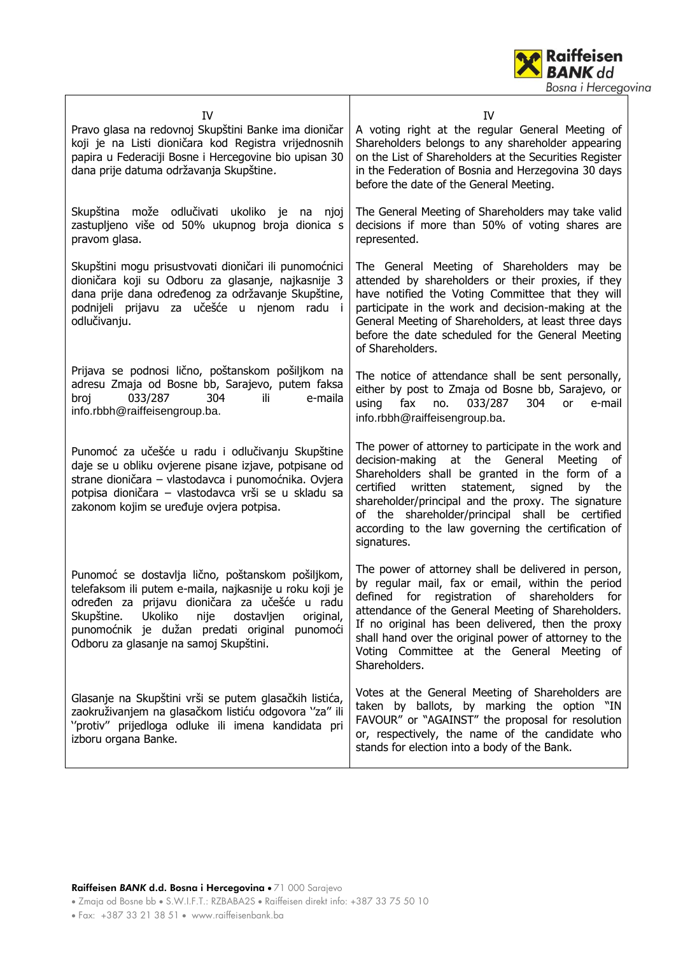

| <b>IV</b><br>Pravo glasa na redovnoj Skupštini Banke ima dioničar<br>koji je na Listi dioničara kod Registra vrijednosnih<br>papira u Federaciji Bosne i Hercegovine bio upisan 30<br>dana prije datuma održavanja Skupštine.                                                                                           | IV<br>A voting right at the regular General Meeting of<br>Shareholders belongs to any shareholder appearing<br>on the List of Shareholders at the Securities Register<br>in the Federation of Bosnia and Herzegovina 30 days<br>before the date of the General Meeting.                                                                                                                                   |
|-------------------------------------------------------------------------------------------------------------------------------------------------------------------------------------------------------------------------------------------------------------------------------------------------------------------------|-----------------------------------------------------------------------------------------------------------------------------------------------------------------------------------------------------------------------------------------------------------------------------------------------------------------------------------------------------------------------------------------------------------|
| Skupština može odlučivati ukoliko je<br>na<br>njoj<br>zastupljeno više od 50% ukupnog broja dionica s<br>pravom glasa.                                                                                                                                                                                                  | The General Meeting of Shareholders may take valid<br>decisions if more than 50% of voting shares are<br>represented.                                                                                                                                                                                                                                                                                     |
| Skupštini mogu prisustvovati dioničari ili punomoćnici<br>dioničara koji su Odboru za glasanje, najkasnije 3<br>dana prije dana određenog za održavanje Skupštine,<br>podnijeli prijavu za učešće u njenom radu i<br>odlučivanju.                                                                                       | The General Meeting of Shareholders may be<br>attended by shareholders or their proxies, if they<br>have notified the Voting Committee that they will<br>participate in the work and decision-making at the<br>General Meeting of Shareholders, at least three days<br>before the date scheduled for the General Meeting<br>of Shareholders.                                                              |
| Prijava se podnosi lično, poštanskom pošiljkom na<br>adresu Zmaja od Bosne bb, Sarajevo, putem faksa<br>304<br>broj<br>033/287<br>e-maila<br>ili.<br>info.rbbh@raiffeisengroup.ba.                                                                                                                                      | The notice of attendance shall be sent personally,<br>either by post to Zmaja od Bosne bb, Sarajevo, or<br>using<br>fax<br>033/287<br>304<br>no.<br><b>or</b><br>e-mail<br>info.rbbh@raiffeisengroup.ba.                                                                                                                                                                                                  |
| Punomoć za učešće u radu i odlučivanju Skupštine<br>daje se u obliku ovjerene pisane izjave, potpisane od<br>strane dioničara - vlastodavca i punomoćnika. Ovjera<br>potpisa dioničara - vlastodavca vrši se u skladu sa<br>zakonom kojim se uređuje ovjera potpisa.                                                    | The power of attorney to participate in the work and<br>decision-making<br>at the General<br>Meeting<br>_of<br>Shareholders shall be granted in the form of a<br>statement,<br>signed<br>certified<br>written<br>the<br>by<br>shareholder/principal and the proxy. The signature<br>of the shareholder/principal shall be certified<br>according to the law governing the certification of<br>signatures. |
| Punomoć se dostavlja lično, poštanskom pošiljkom,<br>telefaksom ili putem e-maila, najkasnije u roku koji je<br>određen za prijavu dioničara za učešće u radu<br>Skupštine.<br>Ukoliko<br>nije<br>dostavljen<br>original,<br>punomoćnik je dužan predati original<br>punomoći<br>Odboru za glasanje na samoj Skupštini. | The power of attorney shall be delivered in person,<br>by regular mail, fax or email, within the period<br>defined for registration of<br>shareholders for<br>attendance of the General Meeting of Shareholders.<br>If no original has been delivered, then the proxy<br>shall hand over the original power of attorney to the<br>Voting Committee at the General Meeting of<br>Shareholders.             |
| Glasanje na Skupštini vrši se putem glasačkih listića,<br>zaokruživanjem na glasačkom listiću odgovora "za" ili<br>"protiv" prijedloga odluke ili imena kandidata pri<br>izboru organa Banke.                                                                                                                           | Votes at the General Meeting of Shareholders are<br>taken by ballots, by marking the option "IN<br>FAVOUR" or "AGAINST" the proposal for resolution<br>or, respectively, the name of the candidate who<br>stands for election into a body of the Bank.                                                                                                                                                    |